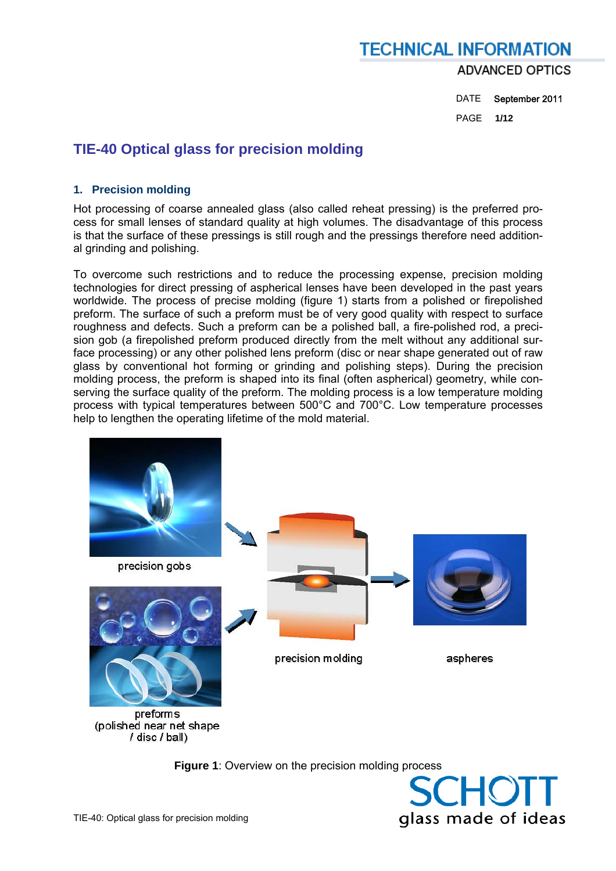DATE September 2011 PAGE **1/12** 

# **TIE-40 Optical glass for precision molding**

#### **1. Precision molding**

Hot processing of coarse annealed glass (also called reheat pressing) is the preferred process for small lenses of standard quality at high volumes. The disadvantage of this process is that the surface of these pressings is still rough and the pressings therefore need additional grinding and polishing.

To overcome such restrictions and to reduce the processing expense, precision molding technologies for direct pressing of aspherical lenses have been developed in the past years worldwide. The process of precise molding (figure 1) starts from a polished or firepolished preform. The surface of such a preform must be of very good quality with respect to surface roughness and defects. Such a preform can be a polished ball, a fire-polished rod, a precision gob (a firepolished preform produced directly from the melt without any additional surface processing) or any other polished lens preform (disc or near shape generated out of raw glass by conventional hot forming or grinding and polishing steps). During the precision molding process, the preform is shaped into its final (often aspherical) geometry, while conserving the surface quality of the preform. The molding process is a low temperature molding process with typical temperatures between 500°C and 700°C. Low temperature processes help to lengthen the operating lifetime of the mold material.



**Figure 1**: Overview on the precision molding process

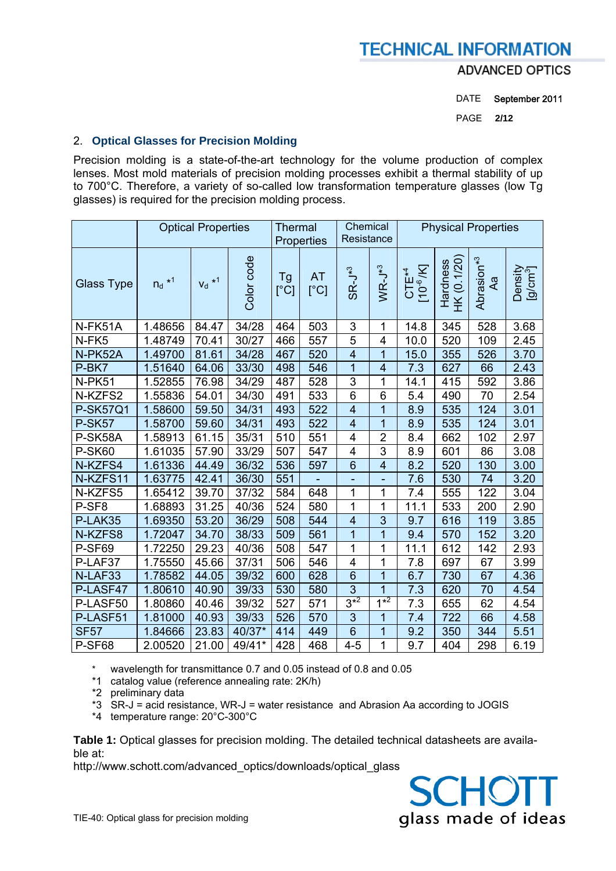**ADVANCED OPTICS** 

DATE September 2011

PAGE **2/12** 

### 2. **Optical Glasses for Precision Molding**

Precision molding is a state-of-the-art technology for the volume production of complex lenses. Most mold materials of precision molding processes exhibit a thermal stability of up to 700°C. Therefore, a variety of so-called low transformation temperature glasses (low Tg glasses) is required for the precision molding process.

|                   | <b>Optical Properties</b> |                      | <b>Thermal</b><br>Properties |            | Chemical<br>Resistance |                         | <b>Physical Properties</b> |                                 |                         |                              |                                 |
|-------------------|---------------------------|----------------------|------------------------------|------------|------------------------|-------------------------|----------------------------|---------------------------------|-------------------------|------------------------------|---------------------------------|
| <b>Glass Type</b> | $n_d$ *1                  | $V_d$ * <sup>1</sup> | Color code                   | Tg<br>[°C] | <b>AT</b><br>[°C]      | $SR-J*3$                | $WR-J^{*3}$                | $CTE^{*4}$ [10 <sup>-6</sup> K] | HK (0.1/20)<br>Hardness | Abrasion <sup>*3</sup><br>ÆА | Density<br>[g/cm <sup>3</sup> ] |
| N-FK51A           | 1.48656                   | 84.47                | 34/28                        | 464        | 503                    | 3                       | 1                          | 14.8                            | 345                     | 528                          | 3.68                            |
| N-FK5             | 1.48749                   | 70.41                | 30/27                        | 466        | 557                    | 5                       | $\overline{4}$             | 10.0                            | 520                     | 109                          | 2.45                            |
| N-PK52A           | 1.49700                   | 81.61                | 34/28                        | 467        | 520                    | $\overline{\mathbf{4}}$ | 1                          | 15.0                            | 355                     | 526                          | 3.70                            |
| P-BK7             | 1.51640                   | 64.06                | 33/30                        | 498        | 546                    | 1                       | $\overline{4}$             | 7.3                             | 627                     | 66                           | 2.43                            |
| N-PK51            | 1.52855                   | 76.98                | 34/29                        | 487        | 528                    | 3                       | 1                          | 14.1                            | 415                     | 592                          | 3.86                            |
| N-KZFS2           | 1.55836                   | 54.01                | 34/30                        | 491        | 533                    | 6                       | 6                          | 5.4                             | 490                     | 70                           | 2.54                            |
| <b>P-SK57Q1</b>   | 1.58600                   | 59.50                | 34/31                        | 493        | 522                    | $\overline{4}$          | $\overline{1}$             | 8.9                             | 535                     | 124                          | 3.01                            |
| <b>P-SK57</b>     | 1.58700                   | 59.60                | 34/31                        | 493        | 522                    | 4                       | 1                          | 8.9                             | 535                     | 124                          | 3.01                            |
| P-SK58A           | 1.58913                   | 61.15                | 35/31                        | 510        | 551                    | 4                       | $\overline{2}$             | 8.4                             | 662                     | 102                          | 2.97                            |
| <b>P-SK60</b>     | 1.61035                   | 57.90                | 33/29                        | 507        | 547                    | $\overline{\mathbf{4}}$ | $\overline{3}$             | 8.9                             | 601                     | 86                           | 3.08                            |
| N-KZFS4           | 1.61336                   | 44.49                | 36/32                        | 536        | 597                    | $6\phantom{1}6$         | $\overline{4}$             | 8.2                             | 520                     | 130                          | 3.00                            |
| N-KZFS11          | 1.63775                   | 42.41                | 36/30                        | 551        |                        | ÷,                      | ÷                          | 7.6                             | 530                     | 74                           | 3.20                            |
| N-KZFS5           | 1.65412                   | 39.70                | 37/32                        | 584        | 648                    | 1                       | 1                          | 7.4                             | 555                     | 122                          | 3.04                            |
| P-SF <sub>8</sub> | 1.68893                   | 31.25                | 40/36                        | 524        | 580                    | 1                       | 1                          | 11.1                            | 533                     | 200                          | 2.90                            |
| P-LAK35           | 1.69350                   | 53.20                | 36/29                        | 508        | 544                    | $\overline{4}$          | 3                          | 9.7                             | 616                     | 119                          | 3.85                            |
| N-KZFS8           | 1.72047                   | 34.70                | 38/33                        | 509        | 561                    | 1                       | 1                          | 9.4                             | 570                     | 152                          | 3.20                            |
| P-SF69            | 1.72250                   | 29.23                | 40/36                        | 508        | 547                    | 1                       | 1                          | 11.1                            | 612                     | 142                          | 2.93                            |
| P-LAF37           | 1.75550                   | 45.66                | 37/31                        | 506        | 546                    | 4                       | 1                          | 7.8                             | 697                     | 67                           | 3.99                            |
| N-LAF33           | 1.78582                   | 44.05                | 39/32                        | 600        | 628                    | $6\phantom{1}6$         | 1                          | 6.7                             | 730                     | 67                           | 4.36                            |
| P-LASF47          | 1.80610                   | 40.90                | 39/33                        | 530        | 580                    | 3                       | $\overline{1}$             | 7.3                             | 620                     | 70                           | 4.54                            |
| P-LASF50          | 1.80860                   | 40.46                | 39/32                        | 527        | 571                    | $3^{*2}$                | $1*2$                      | 7.3                             | 655                     | 62                           | 4.54                            |
| P-LASF51          | 1.81000                   | 40.93                | 39/33                        | 526        | 570                    | 3                       | 1                          | 7.4                             | 722                     | 66                           | 4.58                            |
| <b>SF57</b>       | 1.84666                   | 23.83                | 40/37*                       | 414        | 449                    | 6                       | $\overline{1}$             | 9.2                             | 350                     | 344                          | 5.51                            |
| P-SF68            | 2.00520                   | 21.00                | 49/41*                       | 428        | 468                    | $4 - 5$                 | 1                          | 9.7                             | 404                     | 298                          | 6.19                            |

\* wavelength for transmittance 0.7 and 0.05 instead of 0.8 and 0.05

\*1 catalog value (reference annealing rate: 2K/h)

\*2 preliminary data

\*3 SR-J = acid resistance, WR-J = water resistance and Abrasion Aa according to JOGIS

\*4 temperature range: 20°C-300°C

**Table 1:** Optical glasses for precision molding. The detailed technical datasheets are available at:

http://www.schott.com/advanced\_optics/downloads/optical\_qlass

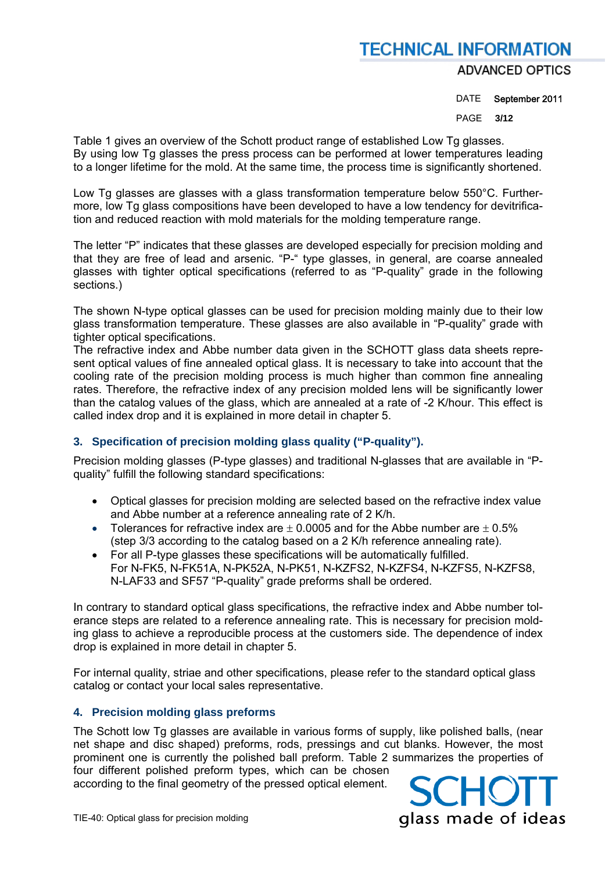### **ADVANCED OPTICS**

DATE September 2011

PAGE **3/12** 

Table 1 gives an overview of the Schott product range of established Low Tg glasses. By using low Tg glasses the press process can be performed at lower temperatures leading to a longer lifetime for the mold. At the same time, the process time is significantly shortened.

Low Tg glasses are glasses with a glass transformation temperature below 550°C. Furthermore, low Tg glass compositions have been developed to have a low tendency for devitrification and reduced reaction with mold materials for the molding temperature range.

The letter "P" indicates that these glasses are developed especially for precision molding and that they are free of lead and arsenic. "P-" type glasses, in general, are coarse annealed glasses with tighter optical specifications (referred to as "P-quality" grade in the following sections.)

The shown N-type optical glasses can be used for precision molding mainly due to their low glass transformation temperature. These glasses are also available in "P-quality" grade with tighter optical specifications.

The refractive index and Abbe number data given in the SCHOTT glass data sheets represent optical values of fine annealed optical glass. It is necessary to take into account that the cooling rate of the precision molding process is much higher than common fine annealing rates. Therefore, the refractive index of any precision molded lens will be significantly lower than the catalog values of the glass, which are annealed at a rate of -2 K/hour. This effect is called index drop and it is explained in more detail in chapter 5.

## **3. Specification of precision molding glass quality ("P-quality").**

Precision molding glasses (P-type glasses) and traditional N-glasses that are available in "Pquality" fulfill the following standard specifications:

- Optical glasses for precision molding are selected based on the refractive index value and Abbe number at a reference annealing rate of 2 K/h.
- Tolerances for refractive index are  $\pm$  0.0005 and for the Abbe number are  $\pm$  0.5% (step 3/3 according to the catalog based on a 2 K/h reference annealing rate).
- For all P-type glasses these specifications will be automatically fulfilled. For N-FK5, N-FK51A, N-PK52A, N-PK51, N-KZFS2, N-KZFS4, N-KZFS5, N-KZFS8, N-LAF33 and SF57 "P-quality" grade preforms shall be ordered.

In contrary to standard optical glass specifications, the refractive index and Abbe number tolerance steps are related to a reference annealing rate. This is necessary for precision molding glass to achieve a reproducible process at the customers side. The dependence of index drop is explained in more detail in chapter 5.

For internal quality, striae and other specifications, please refer to the standard optical glass catalog or contact your local sales representative.

## **4. Precision molding glass preforms**

The Schott low Tg glasses are available in various forms of supply, like polished balls, (near net shape and disc shaped) preforms, rods, pressings and cut blanks. However, the most prominent one is currently the polished ball preform. Table 2 summarizes the properties of four different polished preform types, which can be chosen

according to the final geometry of the pressed optical element.

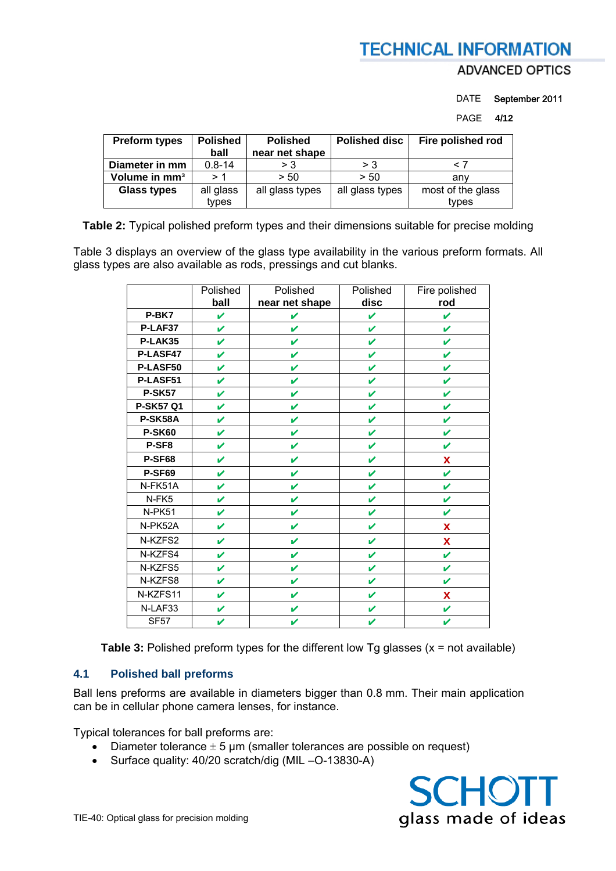# **ADVANCED OPTICS**

DATE September 2011

PAGE **4/12** 

| <b>Preform types</b>      | <b>Polished</b><br>ball | <b>Polished</b><br>near net shape | <b>Polished disc</b> | Fire polished rod          |
|---------------------------|-------------------------|-----------------------------------|----------------------|----------------------------|
| Diameter in mm            | $0.8 - 14$              | $>$ 3                             | > 3                  |                            |
| Volume in mm <sup>3</sup> | > 1                     | > 50                              | > 50                 | anv                        |
| <b>Glass types</b>        | all glass<br>types      | all glass types                   | all glass types      | most of the glass<br>types |

**Table 2:** Typical polished preform types and their dimensions suitable for precise molding

Table 3 displays an overview of the glass type availability in the various preform formats. All glass types are also available as rods, pressings and cut blanks.

|                  | Polished<br>ball | Polished<br>near net shape | Polished<br>disc | Fire polished<br>rod |
|------------------|------------------|----------------------------|------------------|----------------------|
| P-BK7            | <b>V</b>         | V                          | V                | V                    |
| P-LAF37          | V                | V                          | V                | V                    |
| P-LAK35          | V                | V                          | V                | ✔                    |
| P-LASF47         | V                | V                          | V                | V                    |
| P-LASF50         | V                | V                          | V                | V                    |
| P-LASF51         | V                | V                          | V                | V                    |
| <b>P-SK57</b>    | V                | V                          | V                | V                    |
| <b>P-SK57 Q1</b> | V                | V                          | V                | V                    |
| P-SK58A          | V                | V                          | ✔                | V                    |
| <b>P-SK60</b>    | V                | V                          | V                | V                    |
| P-SF8            | V                | V                          | V                | V                    |
| <b>P-SF68</b>    | V                | $\mathbf{v}$               | V                | X                    |
| <b>P-SF69</b>    | V                | V                          | V                | V                    |
| N-FK51A          | V                | V                          | V                | V                    |
| N-FK5            | V                | V                          | V                | V                    |
| N-PK51           | V                | V                          | V                | V                    |
| N-PK52A          | V                | V                          | V                | X                    |
| N-KZFS2          | V                | V                          | V                | X                    |
| N-KZFS4          | V                | V                          | ✔                | V                    |
| N-KZFS5          | V                | V                          | V                | V                    |
| N-KZFS8          | V                | V                          | ✔                | V                    |
| N-KZFS11         | V                | V                          | V                | X                    |
| N-LAF33          | V                | V                          | V                | V                    |
| <b>SF57</b>      | V                | V                          | V                | V                    |

**Table 3:** Polished preform types for the different low Tg glasses (x = not available)

### **4.1 Polished ball preforms**

Ball lens preforms are available in diameters bigger than 0.8 mm. Their main application can be in cellular phone camera lenses, for instance.

Typical tolerances for ball preforms are:

- Diameter tolerance  $\pm$  5 µm (smaller tolerances are possible on request)
- Surface quality: 40/20 scratch/dig (MIL –O-13830-A)

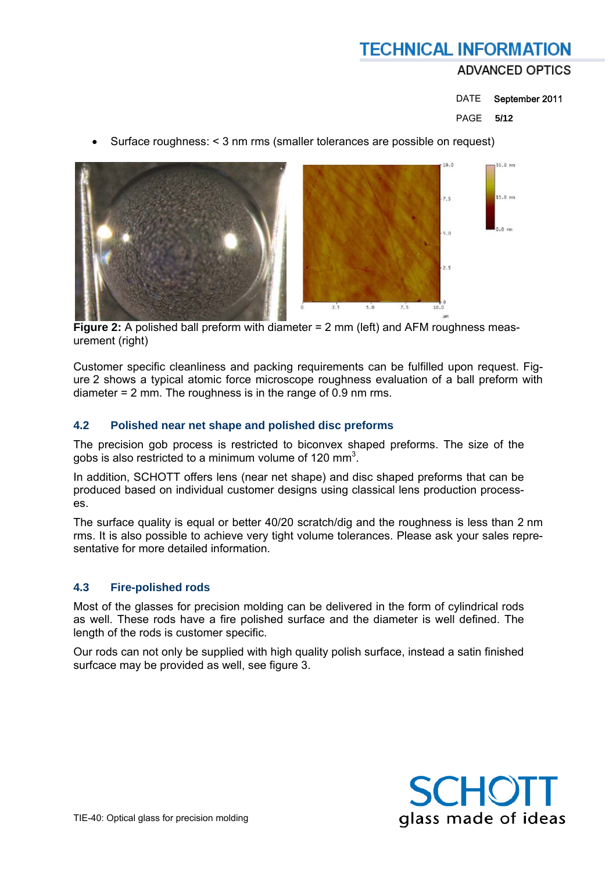## DATE September 2011

### PAGE **5/12**

Surface roughness: < 3 nm rms (smaller tolerances are possible on request)



 **Figure 2:** A polished ball preform with diameter = 2 mm (left) and AFM roughness measurement (right)

Customer specific cleanliness and packing requirements can be fulfilled upon request. Figure 2 shows a typical atomic force microscope roughness evaluation of a ball preform with diameter = 2 mm. The roughness is in the range of 0.9 nm rms.

### **4.2 Polished near net shape and polished disc preforms**

The precision gob process is restricted to biconvex shaped preforms. The size of the gobs is also restricted to a minimum volume of 120 mm<sup>3</sup>.

In addition, SCHOTT offers lens (near net shape) and disc shaped preforms that can be produced based on individual customer designs using classical lens production processes.

The surface quality is equal or better 40/20 scratch/dig and the roughness is less than 2 nm rms. It is also possible to achieve very tight volume tolerances. Please ask your sales representative for more detailed information.

#### **4.3 Fire-polished rods**

Most of the glasses for precision molding can be delivered in the form of cylindrical rods as well. These rods have a fire polished surface and the diameter is well defined. The length of the rods is customer specific.

Our rods can not only be supplied with high quality polish surface, instead a satin finished surfcace may be provided as well, see figure 3.

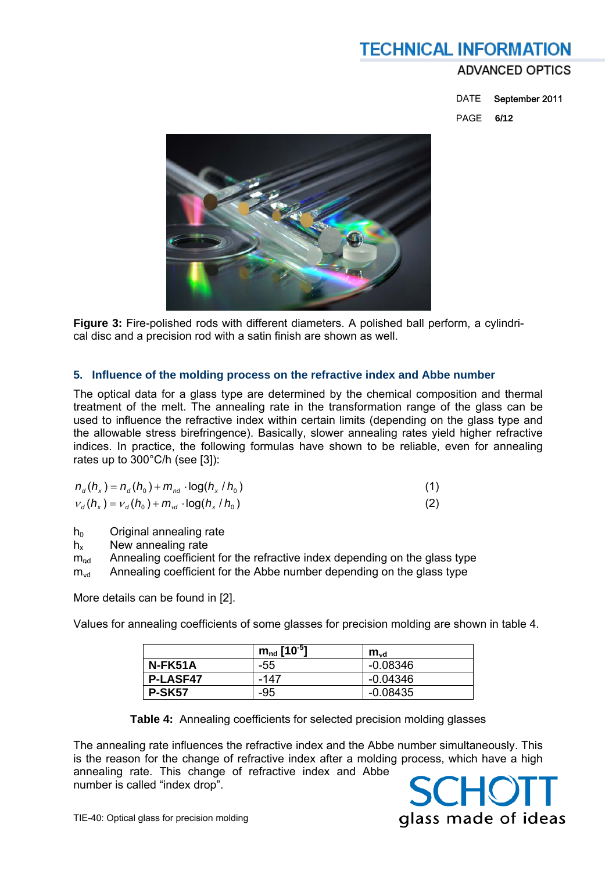## **ADVANCED OPTICS**

 DATE September 2011 PAGE **6/12** 



**Figure 3:** Fire-polished rods with different diameters. A polished ball perform, a cylindrical disc and a precision rod with a satin finish are shown as well.

#### **5. Influence of the molding process on the refractive index and Abbe number**

The optical data for a glass type are determined by the chemical composition and thermal treatment of the melt. The annealing rate in the transformation range of the glass can be used to influence the refractive index within certain limits (depending on the glass type and the allowable stress birefringence). Basically, slower annealing rates yield higher refractive indices. In practice, the following formulas have shown to be reliable, even for annealing rates up to 300°C/h (see [3]):

| $n_d(h_x) = n_d(h_0) + m_{nd} \cdot \log(h_x/h_0)$             |     |
|----------------------------------------------------------------|-----|
| $v_{d}(h_{x}) = v_{d}(h_{0}) + m_{vd} \cdot \log(h_{x}/h_{0})$ | (2) |

 $h_0$  Original annealing rate

 $h_x$  New annealing rate<br>m<sub>nd</sub> Annealing coefficien

Annealing coefficient for the refractive index depending on the glass type

 $m_{\text{vd}}$  Annealing coefficient for the Abbe number depending on the glass type

More details can be found in [2].

Values for annealing coefficients of some glasses for precision molding are shown in table 4.

|                 | $m_{nd}$ [10 <sup>-5</sup> ] | $m_{vd}$   |
|-----------------|------------------------------|------------|
| N-FK51A         | -55                          | -0.08346   |
| <b>P-LASF47</b> | -147                         | -0.04346   |
| <b>P-SK57</b>   | -95                          | $-0.08435$ |

**Table 4:** Annealing coefficients for selected precision molding glasses

The annealing rate influences the refractive index and the Abbe number simultaneously. This is the reason for the change of refractive index after a molding process, which have a high annealing rate. This change of refractive index and Abbe number is called "index drop".

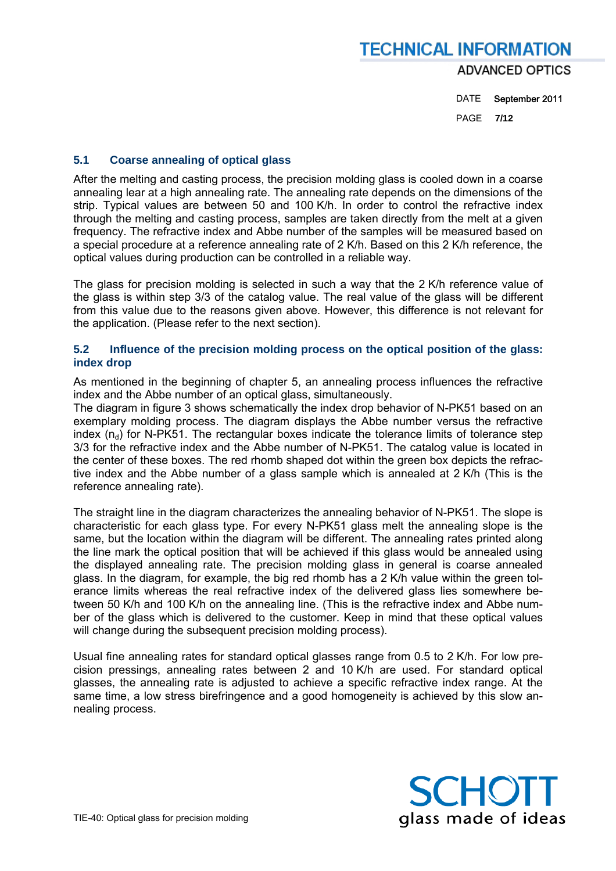DATE September 2011

PAGE **7/12** 

### **5.1 Coarse annealing of optical glass**

After the melting and casting process, the precision molding glass is cooled down in a coarse annealing lear at a high annealing rate. The annealing rate depends on the dimensions of the strip. Typical values are between 50 and 100 K/h. In order to control the refractive index through the melting and casting process, samples are taken directly from the melt at a given frequency. The refractive index and Abbe number of the samples will be measured based on a special procedure at a reference annealing rate of 2 K/h. Based on this 2 K/h reference, the optical values during production can be controlled in a reliable way.

The glass for precision molding is selected in such a way that the 2 K/h reference value of the glass is within step 3/3 of the catalog value. The real value of the glass will be different from this value due to the reasons given above. However, this difference is not relevant for the application. (Please refer to the next section).

#### **5.2 Influence of the precision molding process on the optical position of the glass: index drop**

As mentioned in the beginning of chapter 5, an annealing process influences the refractive index and the Abbe number of an optical glass, simultaneously.

The diagram in figure 3 shows schematically the index drop behavior of N-PK51 based on an exemplary molding process. The diagram displays the Abbe number versus the refractive index  $(n_d)$  for N-PK51. The rectangular boxes indicate the tolerance limits of tolerance step 3/3 for the refractive index and the Abbe number of N-PK51. The catalog value is located in the center of these boxes. The red rhomb shaped dot within the green box depicts the refractive index and the Abbe number of a glass sample which is annealed at 2 K/h (This is the reference annealing rate).

The straight line in the diagram characterizes the annealing behavior of N-PK51. The slope is characteristic for each glass type. For every N-PK51 glass melt the annealing slope is the same, but the location within the diagram will be different. The annealing rates printed along the line mark the optical position that will be achieved if this glass would be annealed using the displayed annealing rate. The precision molding glass in general is coarse annealed glass. In the diagram, for example, the big red rhomb has a 2 K/h value within the green tolerance limits whereas the real refractive index of the delivered glass lies somewhere between 50 K/h and 100 K/h on the annealing line. (This is the refractive index and Abbe number of the glass which is delivered to the customer. Keep in mind that these optical values will change during the subsequent precision molding process).

Usual fine annealing rates for standard optical glasses range from 0.5 to 2 K/h. For low precision pressings, annealing rates between 2 and 10 K/h are used. For standard optical glasses, the annealing rate is adjusted to achieve a specific refractive index range. At the same time, a low stress birefringence and a good homogeneity is achieved by this slow annealing process.

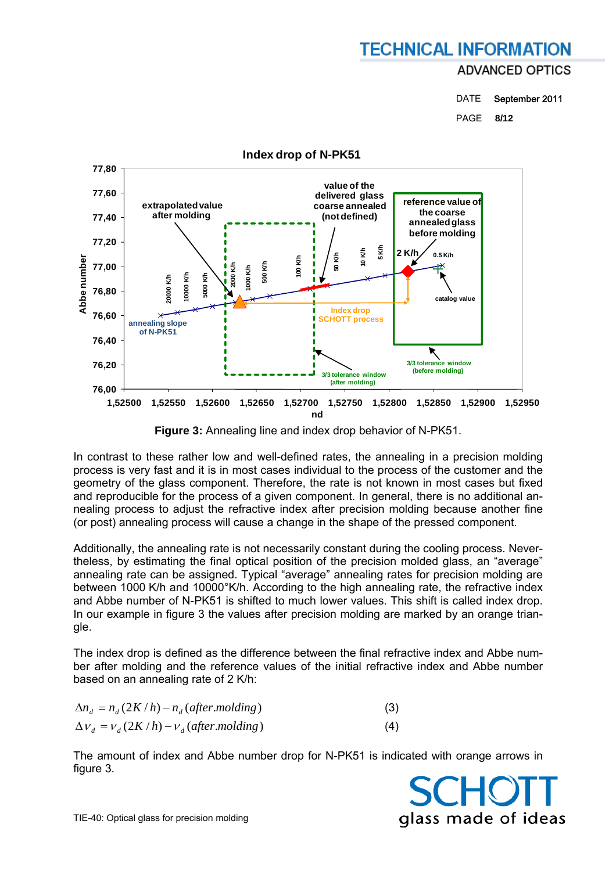DATE September 2011

PAGE **8/12** 



**Figure 3:** Annealing line and index drop behavior of N-PK51.

In contrast to these rather low and well-defined rates, the annealing in a precision molding process is very fast and it is in most cases individual to the process of the customer and the geometry of the glass component. Therefore, the rate is not known in most cases but fixed and reproducible for the process of a given component. In general, there is no additional annealing process to adjust the refractive index after precision molding because another fine (or post) annealing process will cause a change in the shape of the pressed component.

Additionally, the annealing rate is not necessarily constant during the cooling process. Nevertheless, by estimating the final optical position of the precision molded glass, an "average" annealing rate can be assigned. Typical "average" annealing rates for precision molding are between 1000 K/h and 10000°K/h. According to the high annealing rate, the refractive index and Abbe number of N-PK51 is shifted to much lower values. This shift is called index drop. In our example in figure 3 the values after precision molding are marked by an orange triangle.

The index drop is defined as the difference between the final refractive index and Abbe number after molding and the reference values of the initial refractive index and Abbe number based on an annealing rate of 2 K/h:

| $\Delta n_{d} = n_{d} (2K/h) - n_{d} (after.$ molding) | (3) |
|--------------------------------------------------------|-----|
| $\Delta v_{d} = v_{d} (2K/h) - v_{d} (after.$ molding) | (4) |

The amount of index and Abbe number drop for N-PK51 is indicated with orange arrows in figure 3.

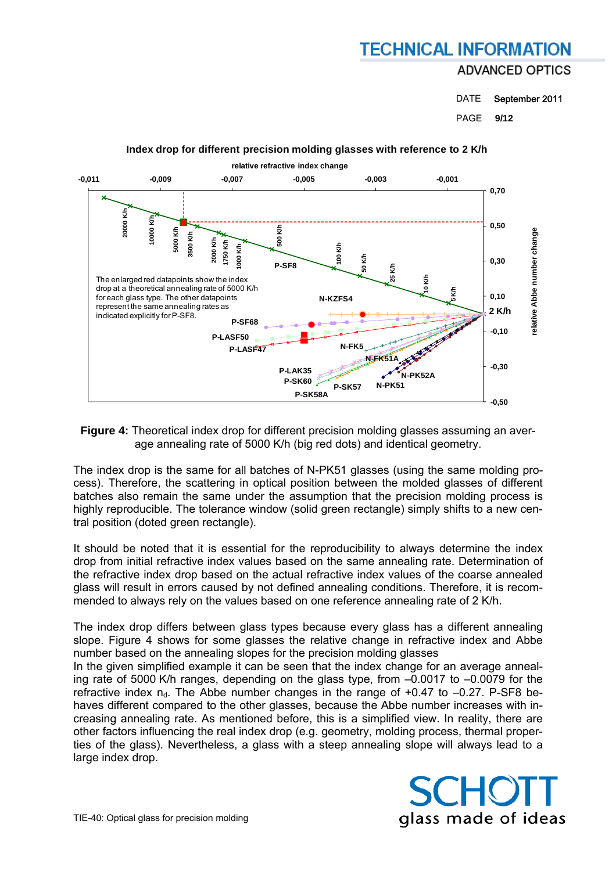DATE September 2011

PAGE **9/12** 



#### **Index drop for different precision molding glasses with reference to 2 K/h**

**Figure 4:** Theoretical index drop for different precision molding glasses assuming an average annealing rate of 5000 K/h (big red dots) and identical geometry.

The index drop is the same for all batches of N-PK51 glasses (using the same molding process). Therefore, the scattering in optical position between the molded glasses of different batches also remain the same under the assumption that the precision molding process is highly reproducible. The tolerance window (solid green rectangle) simply shifts to a new central position (doted green rectangle).

It should be noted that it is essential for the reproducibility to always determine the index drop from initial refractive index values based on the same annealing rate. Determination of the refractive index drop based on the actual refractive index values of the coarse annealed glass will result in errors caused by not defined annealing conditions. Therefore, it is recommended to always rely on the values based on one reference annealing rate of 2 K/h.

The index drop differs between glass types because every glass has a different annealing slope. Figure 4 shows for some glasses the relative change in refractive index and Abbe number based on the annealing slopes for the precision molding glasses

In the given simplified example it can be seen that the index change for an average annealing rate of 5000 K/h ranges, depending on the glass type, from –0.0017 to –0.0079 for the refractive index  $n_d$ . The Abbe number changes in the range of +0.47 to  $-0.27$ . P-SF8 behaves different compared to the other glasses, because the Abbe number increases with increasing annealing rate. As mentioned before, this is a simplified view. In reality, there are other factors influencing the real index drop (e.g. geometry, molding process, thermal properties of the glass). Nevertheless, a glass with a steep annealing slope will always lead to a large index drop.

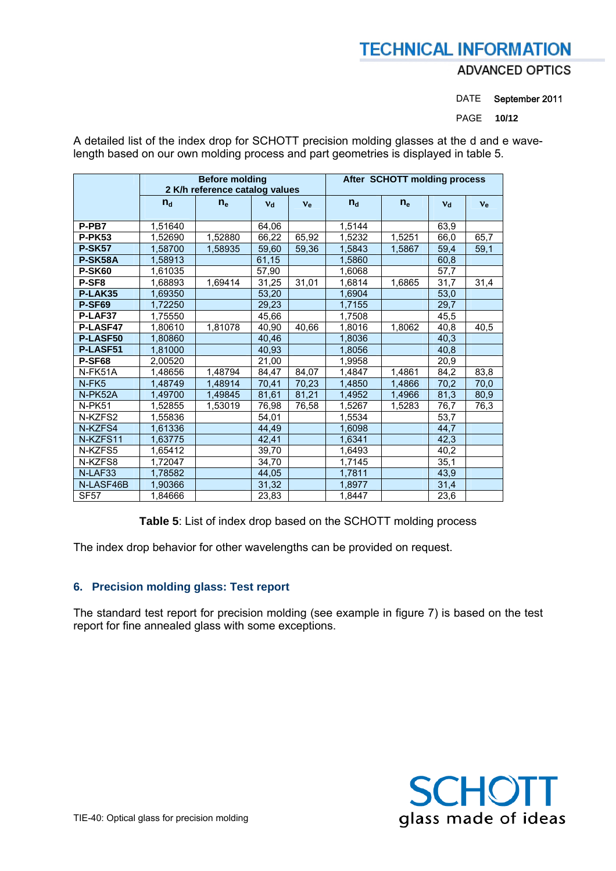## **ADVANCED OPTICS**

DATE September 2011

PAGE **10/12** 

|                   |                                | <b>Before molding</b> | After SCHOTT molding process |         |             |        |         |         |
|-------------------|--------------------------------|-----------------------|------------------------------|---------|-------------|--------|---------|---------|
|                   | 2 K/h reference catalog values |                       |                              |         |             |        |         |         |
|                   | $n_{\rm d}$                    | $n_e$                 | $V_{d}$                      | $v_{e}$ | $n_{\rm d}$ | $n_e$  | $V_{d}$ | $v_{e}$ |
| P-PB7             | 1,51640                        |                       | 64,06                        |         | 1,5144      |        | 63,9    |         |
| <b>P-PK53</b>     | 1,52690                        | 1,52880               | 66,22                        | 65,92   | 1,5232      | 1,5251 | 66,0    | 65,7    |
| <b>P-SK57</b>     | 1,58700                        | 1,58935               | 59,60                        | 59,36   | 1,5843      | 1,5867 | 59,4    | 59,1    |
| P-SK58A           | 1,58913                        |                       | 61,15                        |         | 1,5860      |        | 60,8    |         |
| <b>P-SK60</b>     | 1,61035                        |                       | 57,90                        |         | 1,6068      |        | 57,7    |         |
| P-SF <sub>8</sub> | 1,68893                        | 1,69414               | 31,25                        | 31,01   | 1,6814      | 1,6865 | 31,7    | 31,4    |
| P-LAK35           | 1,69350                        |                       | 53,20                        |         | 1,6904      |        | 53,0    |         |
| <b>P-SF69</b>     | 1,72250                        |                       | 29,23                        |         | 1,7155      |        | 29,7    |         |
| P-LAF37           | 1,75550                        |                       | 45,66                        |         | 1,7508      |        | 45,5    |         |
| P-LASF47          | 1,80610                        | 1,81078               | 40,90                        | 40,66   | 1,8016      | 1,8062 | 40,8    | 40,5    |
| P-LASF50          | 1,80860                        |                       | 40,46                        |         | 1,8036      |        | 40,3    |         |
| P-LASF51          | 1,81000                        |                       | 40,93                        |         | 1,8056      |        | 40,8    |         |
| <b>P-SF68</b>     | 2,00520                        |                       | 21,00                        |         | 1,9958      |        | 20,9    |         |
| N-FK51A           | 1,48656                        | 1,48794               | 84,47                        | 84,07   | 1,4847      | 1,4861 | 84,2    | 83,8    |
| N-FK <sub>5</sub> | 1,48749                        | 1,48914               | 70,41                        | 70,23   | 1,4850      | 1,4866 | 70,2    | 70,0    |
| N-PK52A           | 1,49700                        | 1,49845               | 81,61                        | 81,21   | 1,4952      | 1,4966 | 81,3    | 80,9    |
| N-PK51            | 1,52855                        | 1,53019               | 76,98                        | 76,58   | 1,5267      | 1,5283 | 76,7    | 76,3    |
| N-KZFS2           | 1,55836                        |                       | 54,01                        |         | 1,5534      |        | 53,7    |         |
| N-KZFS4           | 1,61336                        |                       | 44,49                        |         | 1,6098      |        | 44,7    |         |
| N-KZFS11          | 1,63775                        |                       | 42,41                        |         | 1,6341      |        | 42,3    |         |
| N-KZFS5           | 1,65412                        |                       | 39,70                        |         | 1,6493      |        | 40,2    |         |
| N-KZFS8           | 1,72047                        |                       | 34,70                        |         | 1,7145      |        | 35,1    |         |
| N-LAF33           | 1,78582                        |                       | 44,05                        |         | 1,7811      |        | 43,9    |         |
| N-LASF46B         | 1,90366                        |                       | 31,32                        |         | 1,8977      |        | 31,4    |         |
| <b>SF57</b>       | 1,84666                        |                       | 23,83                        |         | 1,8447      |        | 23,6    |         |

A detailed list of the index drop for SCHOTT precision molding glasses at the d and e wavelength based on our own molding process and part geometries is displayed in table 5.

**Table 5**: List of index drop based on the SCHOTT molding process

The index drop behavior for other wavelengths can be provided on request.

## **6. Precision molding glass: Test report**

The standard test report for precision molding (see example in figure 7) is based on the test report for fine annealed glass with some exceptions.

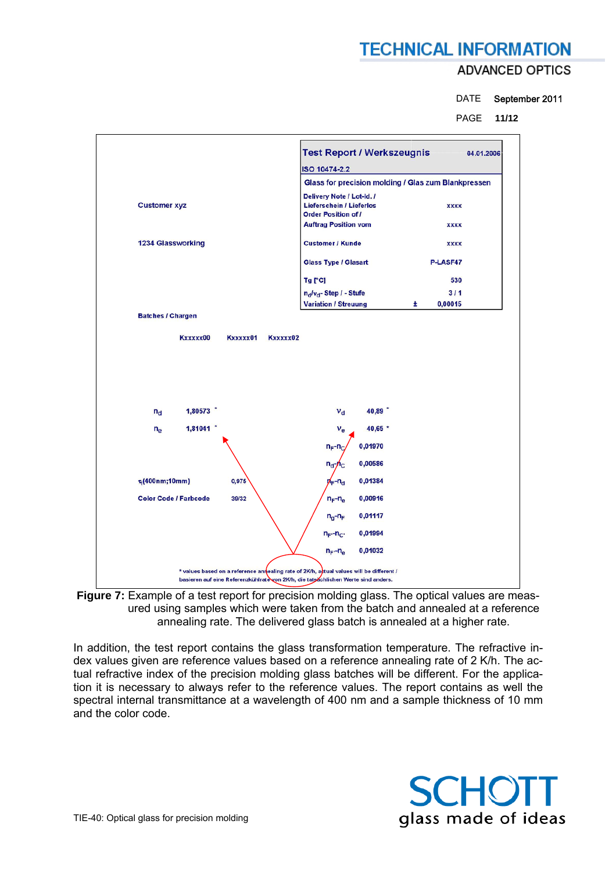## **ADVANCED OPTICS**

DATE September 2011

PAGE **11/12** 



**Figure 7:** Example of a test report for precision molding glass. The optical values are measured using samples which were taken from the batch and annealed at a reference annealing rate. The delivered glass batch is annealed at a higher rate.

In addition, the test report contains the glass transformation temperature. The refractive index values given are reference values based on a reference annealing rate of 2 K/h. The actual refractive index of the precision molding glass batches will be different. For the application it is necessary to always refer to the reference values. The report contains as well the spectral internal transmittance at a wavelength of 400 nm and a sample thickness of 10 mm and the color code.